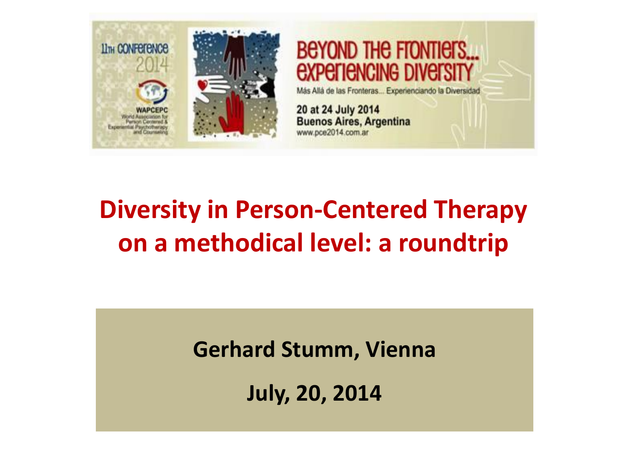

**BEYOND THE FIONTIETS...** *<u>EXPEFIENCING DIVEFSITY</u>* 

Más Allá de las Fronteras... Experienciando la Diversidad

20 at 24 July 2014 **Buenos Aires, Argentina** www.pce2014.com.ar

#### **Diversity in Person-Centered Therapy on a methodical level: a roundtrip**

**Gerhard Stumm, Vienna**

**July, 20, 2014**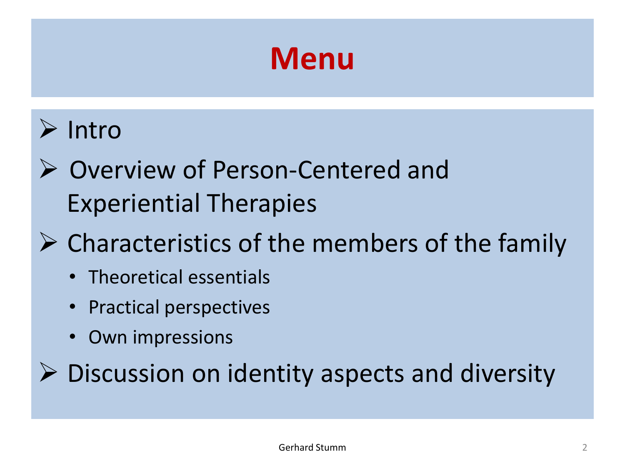# **Menu**

#### Intro

- Overview of Person-Centered and Experiential Therapies
- $\triangleright$  Characteristics of the members of the family
	- Theoretical essentials
	- Practical perspectives
	- Own impressions

 $\triangleright$  Discussion on identity aspects and diversity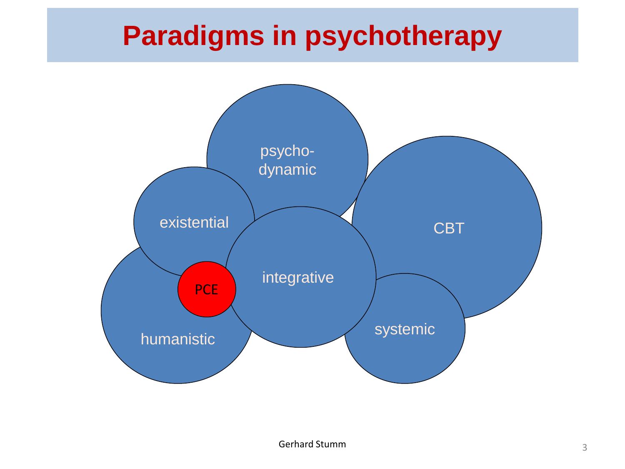#### **Paradigms in psychotherapy**

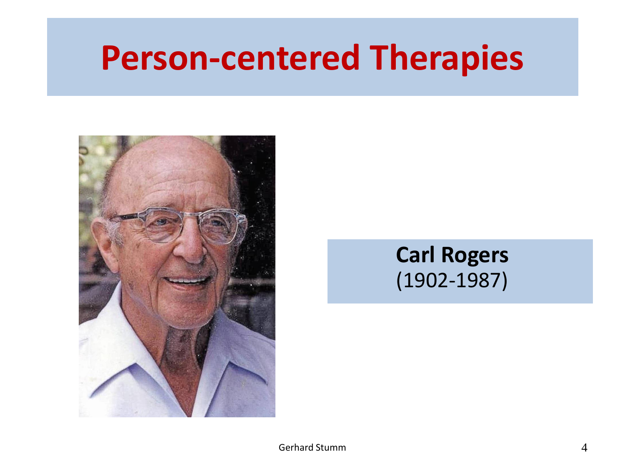# **Person-centered Therapies**



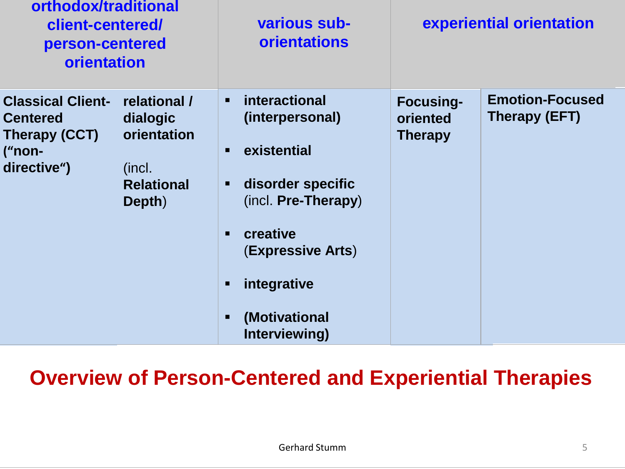| orthodox/traditional<br>client-centered/<br>person-centered<br>orientation                                                                                                       | various sub-<br><b>orientations</b>                                                                                                                                                                                           | experiential orientation                       |                                         |
|----------------------------------------------------------------------------------------------------------------------------------------------------------------------------------|-------------------------------------------------------------------------------------------------------------------------------------------------------------------------------------------------------------------------------|------------------------------------------------|-----------------------------------------|
| <b>Classical Client-</b><br>relational /<br><b>Centered</b><br>dialogic<br>orientation<br><b>Therapy (CCT)</b><br>("non-<br>directive")<br>(incl.<br><b>Relational</b><br>Depth) | interactional<br>$\blacksquare$<br>(interpersonal)<br>existential<br>$\blacksquare$<br>disorder specific<br>п<br>(incl. Pre-Therapy)<br>creative<br><b>(Expressive Arts)</b><br>integrative<br>(Motivational<br>Interviewing) | <b>Focusing-</b><br>oriented<br><b>Therapy</b> | <b>Emotion-Focused</b><br>Therapy (EFT) |

**Overview of Person-Centered and Experiential Therapies**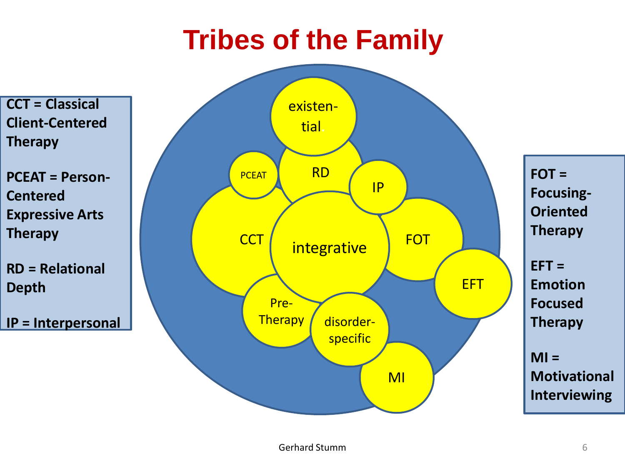## **Tribes of the Family**



**IP = Interpersonal**

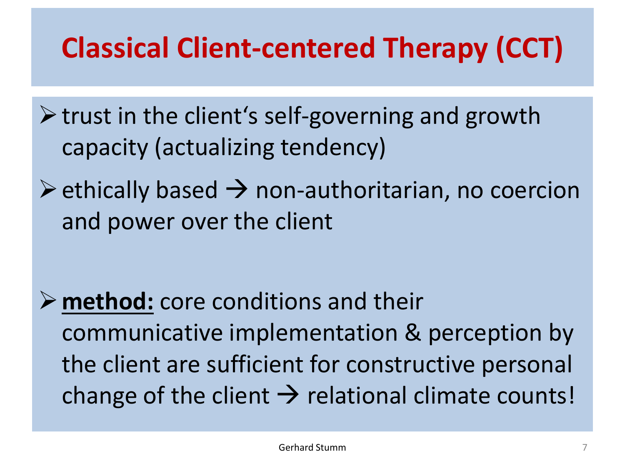# **Classical Client-centered Therapy (CCT)**

- $\triangleright$  trust in the client's self-governing and growth capacity (actualizing tendency)
- $\triangleright$  ethically based  $\rightarrow$  non-authoritarian, no coercion and power over the client

**method:** core conditions and their communicative implementation & perception by the client are sufficient for constructive personal change of the client  $\rightarrow$  relational climate counts!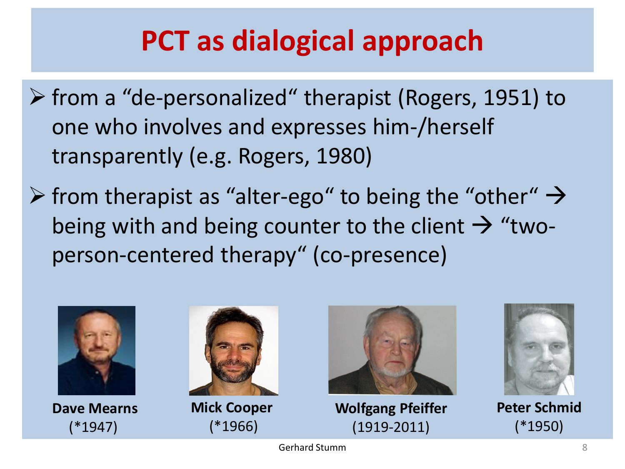## **PCT as dialogical approach**

- $\triangleright$  from a "de-personalized" therapist (Rogers, 1951) to one who involves and expresses him-/herself transparently (e.g. Rogers, 1980)
- $\triangleright$  from therapist as "alter-ego" to being the "other"  $\rightarrow$ being with and being counter to the client  $\rightarrow$  "twoperson-centered therapy" (co-presence)



**Dave Mearns** (\*1947)



**Mick Cooper** (\*1966)



**Wolfgang Pfeiffer** (1919-2011)



**Peter Schmid** (\*1950)

Gerhard Stumm 88 and 2008 88 and 38 and 38 and 38 and 38 and 38 and 38 and 38 and 38 and 38 and 38 and 38 and 38 and 38 and 38 and 38 and 38 and 38 and 38 and 38 and 38 and 38 and 38 and 38 and 38 and 38 and 38 and 38 and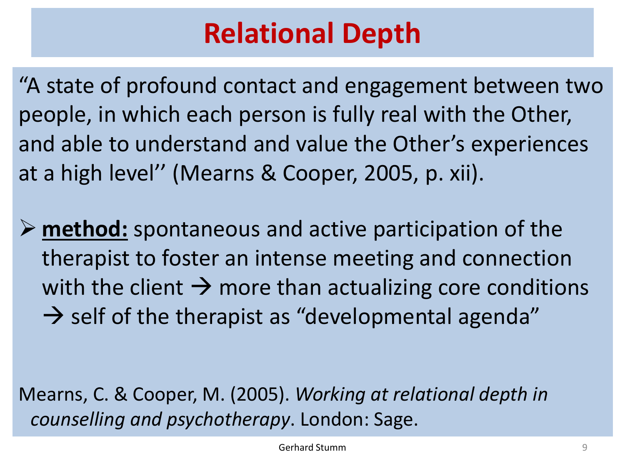#### **Relational Depth**

"A state of profound contact and engagement between two people, in which each person is fully real with the Other, and able to understand and value the Other's experiences at a high level'' (Mearns & Cooper, 2005, p. xii).

 **method:** spontaneous and active participation of the therapist to foster an intense meeting and connection with the client  $\rightarrow$  more than actualizing core conditions  $\rightarrow$  self of the therapist as "developmental agenda"

Mearns, C. & Cooper, M. (2005). *Working at relational depth in counselling and psychotherapy*. London: Sage.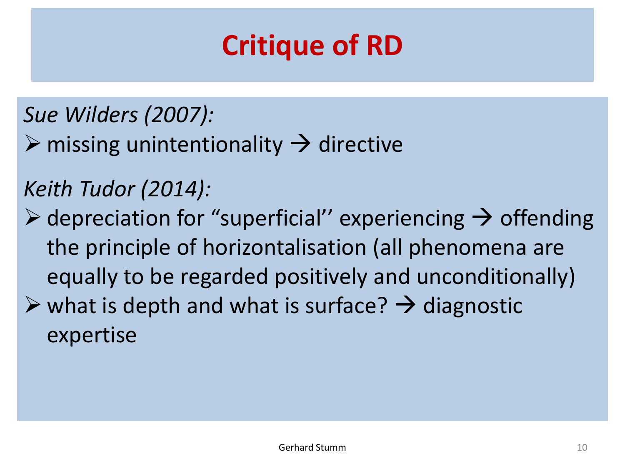## **Critique of RD**

- *Sue Wilders (2007):*
- $\triangleright$  missing unintentionality  $\rightarrow$  directive

#### *Keith Tudor (2014):*

 $\triangleright$  depreciation for "superficial" experiencing  $\rightarrow$  offending the principle of horizontalisation (all phenomena are equally to be regarded positively and unconditionally)  $\triangleright$  what is depth and what is surface?  $\rightarrow$  diagnostic expertise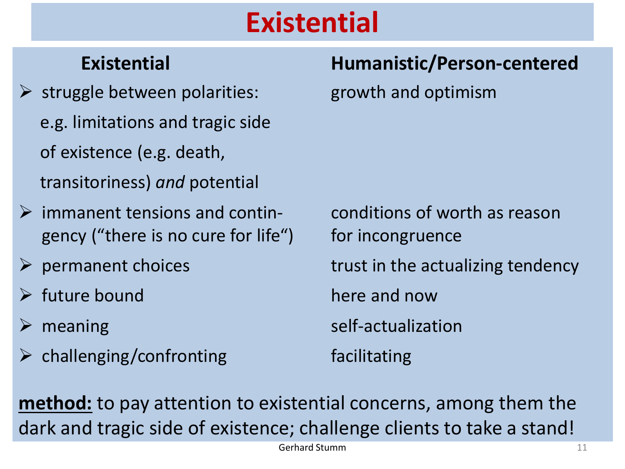## **Existential**

- $\triangleright$  struggle between polarities: growth and optimism e.g. limitations and tragic side of existence (e.g. death, transitoriness) *and* potential
- $\triangleright$  immanent tensions and contin- conditions of worth as reason gency ("there is no cure for life") for incongruence
- 
- $\triangleright$  future bound here and now
- 
- $\triangleright$  challenging/confronting facilitating

#### **Existential Humanistic/Person-centered**

 $\triangleright$  permanent choices trust in the actualizing tendency  $\triangleright$  meaning self-actualization

**method:** to pay attention to existential concerns, among them the dark and tragic side of existence; challenge clients to take a stand!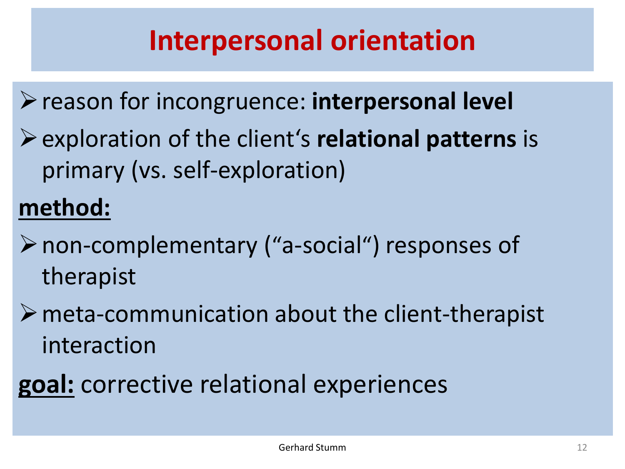## **Interpersonal orientation**

reason for incongruence: **interpersonal level** exploration of the client's **relational patterns** is primary (vs. self-exploration)

#### **method:**

- non-complementary ("a-social") responses of therapist
- $\triangleright$  meta-communication about the client-therapist interaction
- **goal:** corrective relational experiences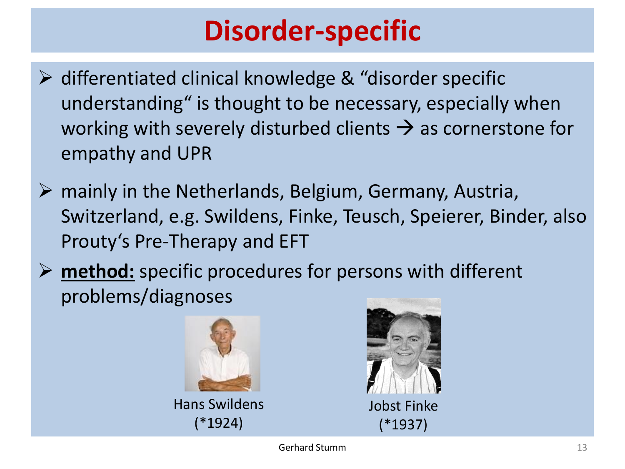#### **Disorder-specific**

- $\triangleright$  differentiated clinical knowledge & "disorder specific understanding" is thought to be necessary, especially when working with severely disturbed clients  $\rightarrow$  as cornerstone for empathy and UPR
- $\triangleright$  mainly in the Netherlands, Belgium, Germany, Austria, Switzerland, e.g. Swildens, Finke, Teusch, Speierer, Binder, also Prouty's Pre-Therapy and EFT
- **method:** specific procedures for persons with different problems/diagnoses



Hans Swildens (\*1924)

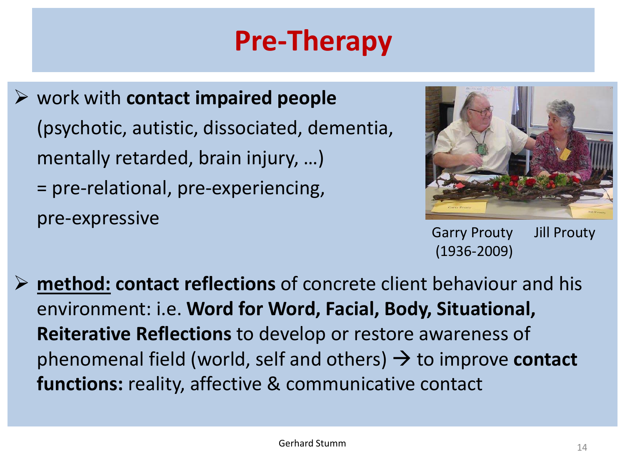# **Pre-Therapy**

 work with **contact impaired people** (psychotic, autistic, dissociated, dementia, mentally retarded, brain injury, …) = pre-relational, pre-experiencing, pre-expressive



Garry Prouty Jill Prouty (1936-2009)

 **method: contact reflections** of concrete client behaviour and his environment: i.e. **Word for Word, Facial, Body, Situational, Reiterative Reflections** to develop or restore awareness of phenomenal field (world, self and others)  $\rightarrow$  to improve **contact functions:** reality, affective & communicative contact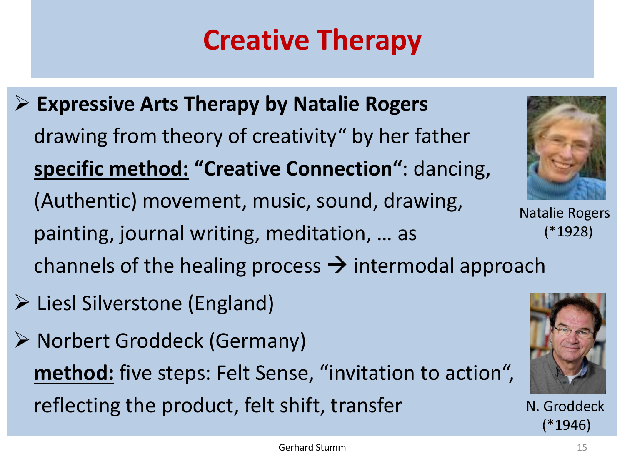# **Creative Therapy**

- **Expressive Arts Therapy by Natalie Rogers** drawing from theory of creativity" by her father **specific method: "Creative Connection"**: dancing, (Authentic) movement, music, sound, drawing, painting, journal writing, meditation, … as channels of the healing process  $\rightarrow$  intermodal approach
- $\triangleright$  Liesl Silverstone (England)
- Norbert Groddeck (Germany) **method:** five steps: Felt Sense, "invitation to action", reflecting the product, felt shift, transfer



Natalie Rogers (\*1928)



N. Groddeck (\*1946)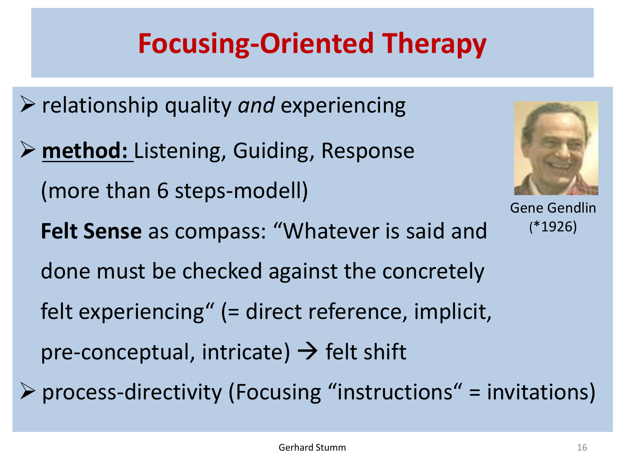# **Focusing-Oriented Therapy**

- relationship quality *and* experiencing
- **method:** Listening, Guiding, Response (more than 6 steps-modell) **Felt Sense** as compass: "Whatever is said and done must be checked against the concretely felt experiencing" (= direct reference, implicit, pre-conceptual, intricate)  $\rightarrow$  felt shift
- $\triangleright$  process-directivity (Focusing "instructions" = invitations)

Gene Gendlin

(\*1926)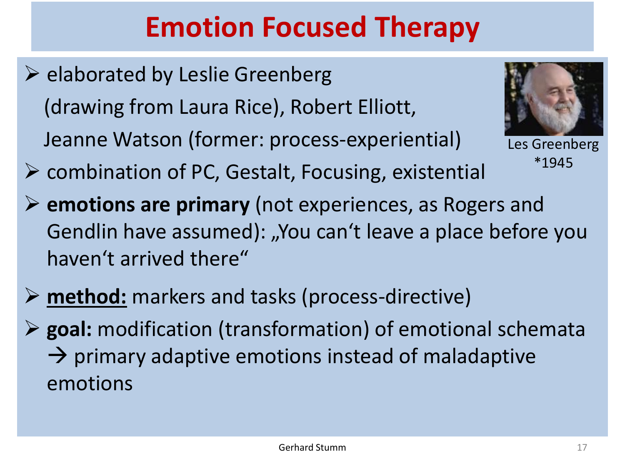# **Emotion Focused Therapy**

 $\triangleright$  elaborated by Leslie Greenberg (drawing from Laura Rice), Robert Elliott, Jeanne Watson (former: process-experiential)



Les Greenberg \*1945

- $\triangleright$  combination of PC, Gestalt, Focusing, existential
- **emotions are primary** (not experiences, as Rogers and Gendlin have assumed): "You can't leave a place before you haven't arrived there"
- **method:** markers and tasks (process-directive)
- **goal:** modification (transformation) of emotional schemata  $\rightarrow$  primary adaptive emotions instead of maladaptive emotions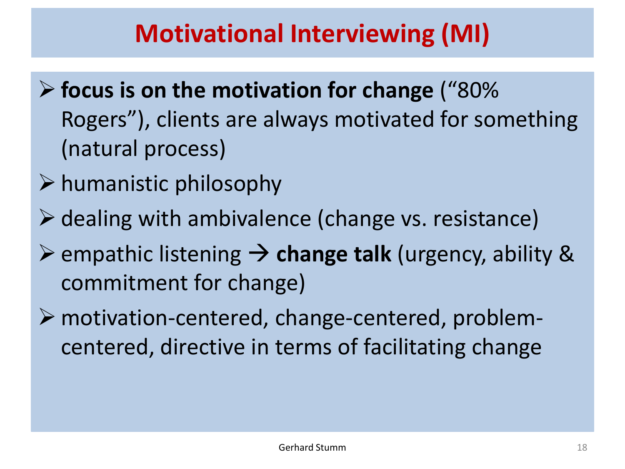#### **Motivational Interviewing (MI)**

- **focus is on the motivation for change** ("80% Rogers"), clients are always motivated for something (natural process)
- $\triangleright$  humanistic philosophy
- $\triangleright$  dealing with ambivalence (change vs. resistance)
- $\triangleright$  empathic listening  $\rightarrow$  change talk (urgency, ability & commitment for change)
- motivation-centered, change-centered, problemcentered, directive in terms of facilitating change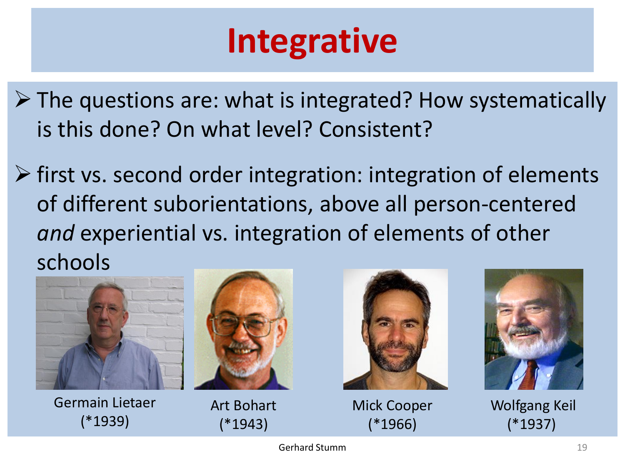# **Integrative**

- $\triangleright$  The questions are: what is integrated? How systematically is this done? On what level? Consistent?
- $\triangleright$  first vs. second order integration: integration of elements of different suborientations, above all person-centered *and* experiential vs. integration of elements of other schools



Germain Lietaer (\*1939)



Art Bohart (\*1943)



Mick Cooper (\*1966)



Wolfgang Keil (\*1937)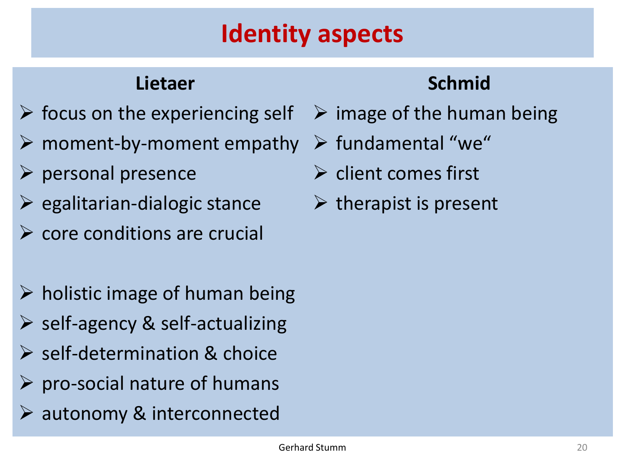#### **Identity aspects**

#### **Lietaer**

- $\triangleright$  focus on the experiencing self
- $\triangleright$  moment-by-moment empathy
- $\rho$  personal presence
- $\triangleright$  egalitarian-dialogic stance
- $\triangleright$  core conditions are crucial
- $\triangleright$  holistic image of human being
- $\triangleright$  self-agency & self-actualizing
- $\triangleright$  self-determination & choice
- $\triangleright$  pro-social nature of humans
- $\triangleright$  autonomy & interconnected

#### **Schmid**

- $\triangleright$  image of the human being
- $\triangleright$  fundamental "we"
- $\triangleright$  client comes first
- $\triangleright$  therapist is present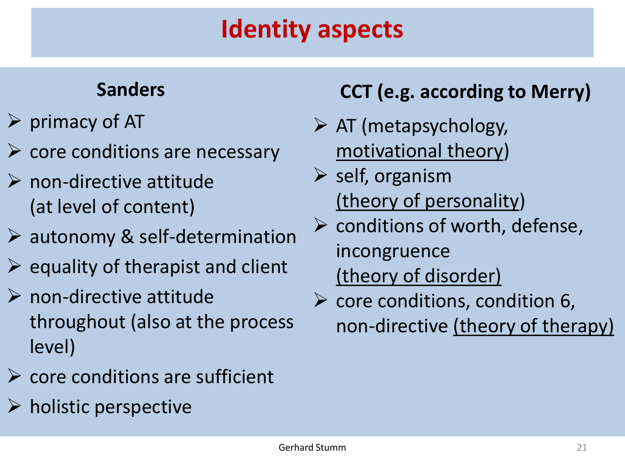#### **Identity aspects**

#### **Sanders**

- $\triangleright$  primacy of AT
- $\triangleright$  core conditions are necessary
- $\triangleright$  non-directive attitude (at level of content)
- $\triangleright$  autonomy & self-determination
- $\triangleright$  equality of therapist and client
- $\triangleright$  non-directive attitude throughout (also at the process level)
- $\triangleright$  core conditions are sufficient
- $\triangleright$  holistic perspective

#### **CCT (e.g. according to Merry)**

- $\triangleright$  AT (metapsychology, motivational theory)
- $\triangleright$  self, organism (theory of personality)
- $\triangleright$  conditions of worth, defense, incongruence (theory of disorder)
- $\triangleright$  core conditions, condition 6, non-directive (theory of therapy)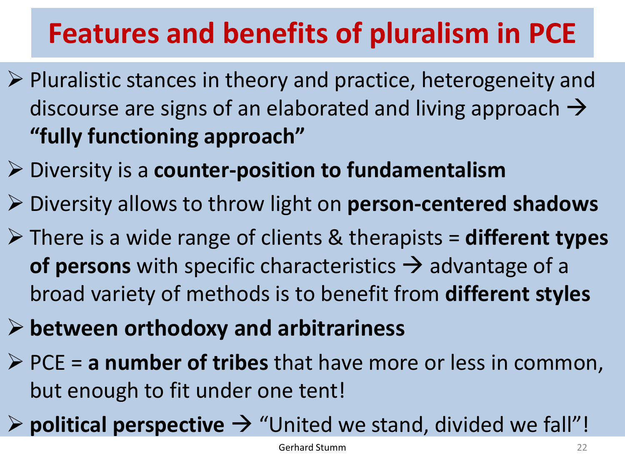## **Features and benefits of pluralism in PCE**

- $\triangleright$  Pluralistic stances in theory and practice, heterogeneity and discourse are signs of an elaborated and living approach  $\rightarrow$ **"fully functioning approach"**
- Diversity is a **counter-position to fundamentalism**
- Diversity allows to throw light on **person-centered shadows**
- There is a wide range of clients & therapists = **different types of persons** with specific characteristics  $\rightarrow$  advantage of a broad variety of methods is to benefit from **different styles**
- **between orthodoxy and arbitrariness**
- PCE = **a number of tribes** that have more or less in common, but enough to fit under one tent!
- $\triangleright$  **political perspective**  $\rightarrow$  "United we stand, divided we fall"!